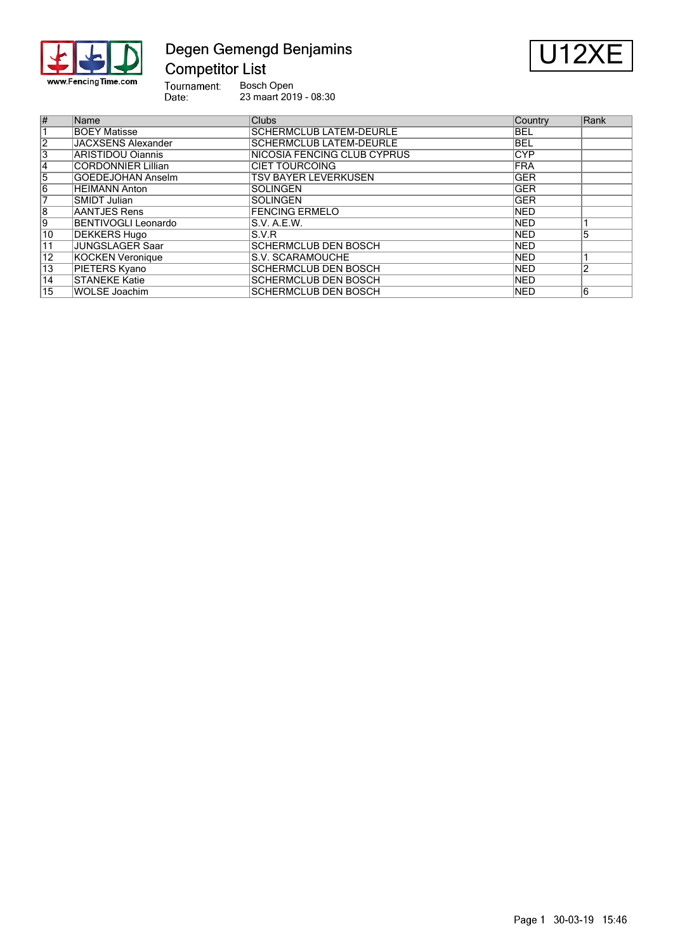

# Degen Gemengd Benjamins **Competitor List**



Tournament:<br>Date: Bosch Open 23 maart 2019 - 08:30

| $\overline{\#}$ | Name                       | <b>Clubs</b>                   | Country     | Rank |
|-----------------|----------------------------|--------------------------------|-------------|------|
|                 | <b>BOEY Matisse</b>        | <b>SCHERMCLUB LATEM-DEURLE</b> | <b>BEL</b>  |      |
| $\overline{2}$  | <b>JACXSENS Alexander</b>  | <b>SCHERMCLUB LATEM-DEURLE</b> | <b>BEL</b>  |      |
| $\overline{3}$  | <b>ARISTIDOU Oiannis</b>   | NICOSIA FENCING CLUB CYPRUS    | <b>CYP</b>  |      |
| $\overline{4}$  | <b>CORDONNIER Lillian</b>  | <b>CIET TOURCOING</b>          | FRA         |      |
| 5               | <b>GOEDEJOHAN Anselm</b>   | <b>TSV BAYER LEVERKUSEN</b>    | <b>GER</b>  |      |
| $\overline{6}$  | <b>HEIMANN Anton</b>       | <b>SOLINGEN</b>                | <b>GER</b>  |      |
| 7               | SMIDT Julian               | <b>SOLINGEN</b>                | <b>IGER</b> |      |
| $\overline{8}$  | AANTJES Rens               | <b>FENCING ERMELO</b>          | <b>NED</b>  |      |
| 9               | <b>BENTIVOGLI Leonardo</b> | S.V. A.E.W.                    | <b>NED</b>  |      |
| 10              | <b>DEKKERS Hugo</b>        | S.V.R                          | <b>NED</b>  | כ:   |
| 11              | <b>JUNGSLAGER Saar</b>     | <b>SCHERMCLUB DEN BOSCH</b>    | <b>NED</b>  |      |
| $\overline{12}$ | KOCKEN Veronique           | S.V. SCARAMOUCHE               | <b>NED</b>  |      |
| $\overline{13}$ | PIETERS Kyano              | <b>SCHERMCLUB DEN BOSCH</b>    | <b>NED</b>  | っ    |
| $\overline{14}$ | <b>STANEKE Katie</b>       | <b>SCHERMCLUB DEN BOSCH</b>    | <b>NED</b>  |      |
| $\overline{15}$ | <b>WOLSE Joachim</b>       | <b>SCHERMCLUB DEN BOSCH</b>    | <b>NED</b>  | 6    |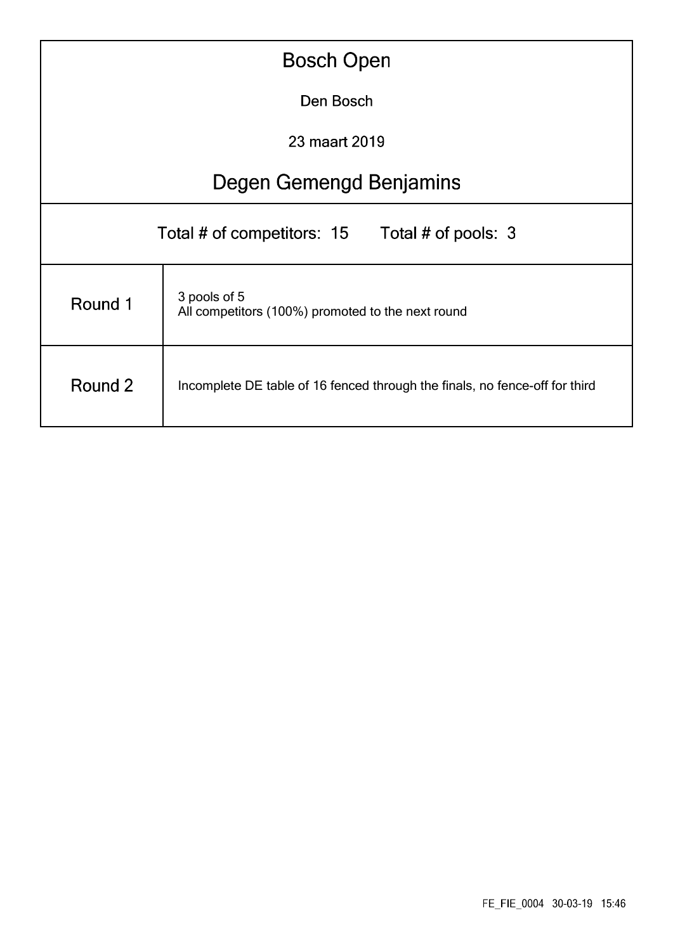| <b>Bosch Open</b>                                                                      |                                                |  |  |  |  |  |  |  |  |
|----------------------------------------------------------------------------------------|------------------------------------------------|--|--|--|--|--|--|--|--|
|                                                                                        | Den Bosch                                      |  |  |  |  |  |  |  |  |
|                                                                                        | 23 maart 2019                                  |  |  |  |  |  |  |  |  |
|                                                                                        | Degen Gemengd Benjamins                        |  |  |  |  |  |  |  |  |
|                                                                                        | Total # of competitors: 15 Total # of pools: 3 |  |  |  |  |  |  |  |  |
| 3 pools of 5<br>Round 1<br>All competitors (100%) promoted to the next round           |                                                |  |  |  |  |  |  |  |  |
| Round 2<br>Incomplete DE table of 16 fenced through the finals, no fence-off for third |                                                |  |  |  |  |  |  |  |  |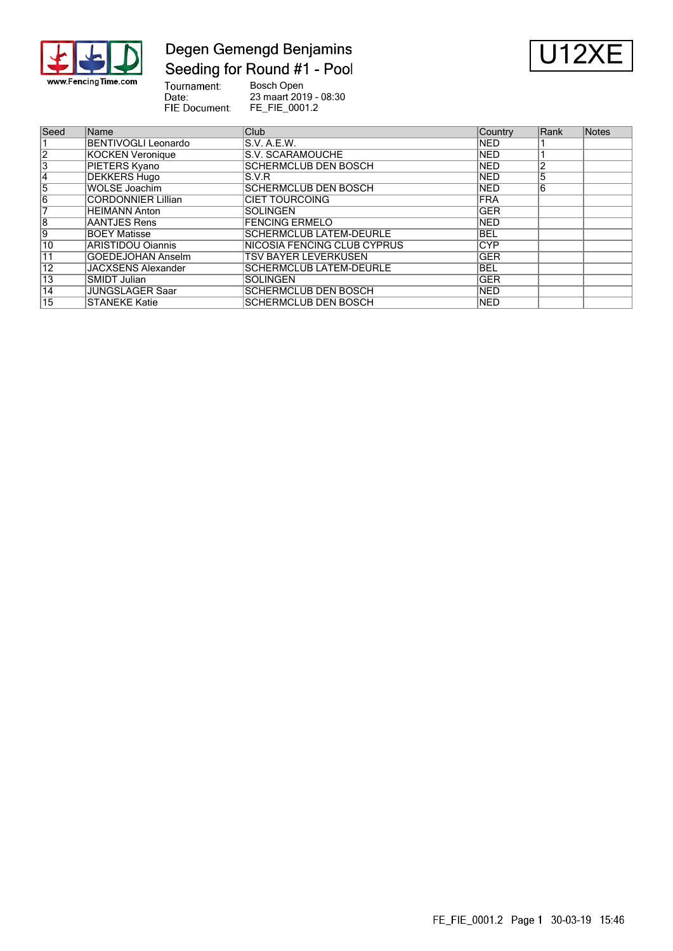

### Degen Gemengd Benjamins Seeding for Round #1 - Pool



Tournament:<br>Date: Bosch Open 23 maart 2019 - 08:30 FIE Document: FE\_FIE\_0001.2

| Seed            | Name                       | Club.                          | Country     | Rank | Notes |
|-----------------|----------------------------|--------------------------------|-------------|------|-------|
|                 | <b>BENTIVOGLI Leonardo</b> | S.V. A.E.W.                    | <b>INED</b> |      |       |
| $\overline{2}$  | <b>KOCKEN Veronique</b>    | S.V. SCARAMOUCHE               | <b>NED</b>  |      |       |
| 3               | PIETERS Kyano              | <b>SCHERMCLUB DEN BOSCH</b>    | <b>NED</b>  |      |       |
| 14              | <b>DEKKERS Hugo</b>        | S.V.R                          | <b>NED</b>  |      |       |
| 5               | <b>WOLSE Joachim</b>       | <b>SCHERMCLUB DEN BOSCH</b>    | <b>NED</b>  | 6    |       |
| 6               | <b>CORDONNIER Lillian</b>  | <b>CIET TOURCOING</b>          | <b>IFRA</b> |      |       |
|                 | <b>HEIMANN Anton</b>       | <b>SOLINGEN</b>                | <b>GER</b>  |      |       |
| $\overline{8}$  | AANTJES Rens               | <b>FENCING ERMELO</b>          | <b>NED</b>  |      |       |
| 9               | <b>BOEY Matisse</b>        | <b>SCHERMCLUB LATEM-DEURLE</b> | <b>BEL</b>  |      |       |
| 10              | ARISTIDOU Oiannis          | NICOSIA FENCING CLUB CYPRUS    | <b>CYP</b>  |      |       |
| 11              | <b>GOEDEJOHAN Anselm</b>   | <b>TSV BAYER LEVERKUSEN</b>    | <b>GER</b>  |      |       |
| $\overline{12}$ | <b>JACXSENS Alexander</b>  | <b>SCHERMCLUB LATEM-DEURLE</b> | <b>BEL</b>  |      |       |
| $\overline{13}$ | SMIDT Julian               | <b>SOLINGEN</b>                | <b>GER</b>  |      |       |
| 14              | <b>JUNGSLAGER Saar</b>     | <b>SCHERMCLUB DEN BOSCH</b>    | <b>INED</b> |      |       |
| 15              | <b>STANEKE Katie</b>       | <b>SCHERMCLUB DEN BOSCH</b>    | <b>NED</b>  |      |       |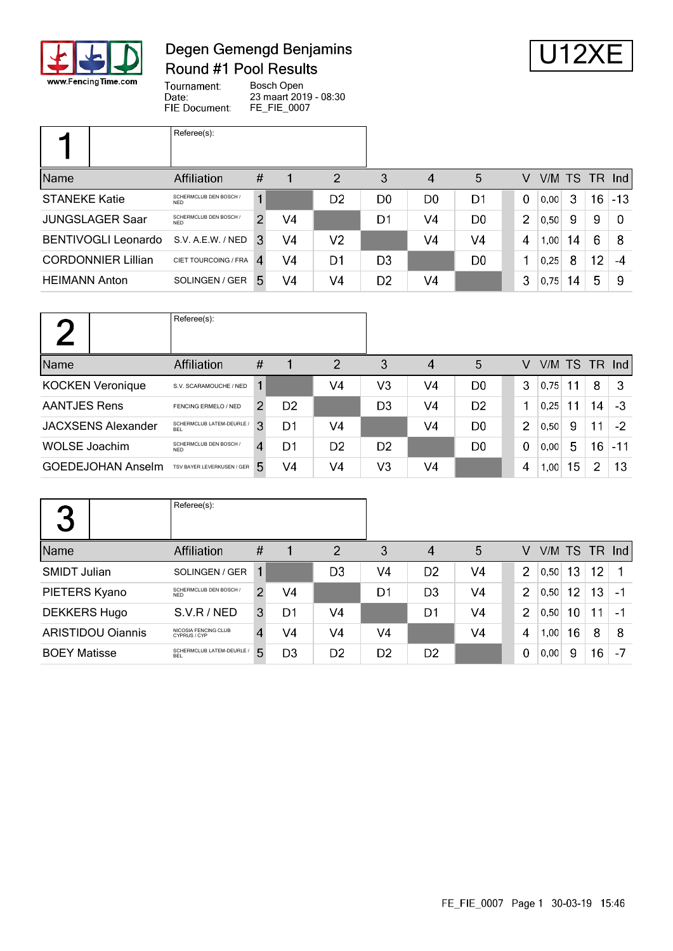

# Degen Gemengd Benjamins Round #1 Pool Results



Tournament: Bosch Open Date: 23 maart 2019 - 08:30 FIE Document: FE\_FIE\_0007

|                            | Referee(s):                          |                            |    |                |                |                |                |                |           |    |                 |       |
|----------------------------|--------------------------------------|----------------------------|----|----------------|----------------|----------------|----------------|----------------|-----------|----|-----------------|-------|
| Name                       | <b>Affiliation</b>                   | #                          |    | $\overline{2}$ | 3              | 4              | 5              | V              | V/M TS TR |    |                 | Ind   |
| <b>STANEKE Katie</b>       | SCHERMCLUB DEN BOSCH /<br><b>NFD</b> |                            |    | D2             | D <sub>0</sub> | D <sub>0</sub> | D1             | $\Omega$       | 0,00      | 3  | 16 <sup>°</sup> | $-13$ |
| <b>JUNGSLAGER Saar</b>     | SCHERMCLUB DEN BOSCH /<br><b>NFD</b> | $\mathcal{P}$              | V4 |                | D1             | V4             | D0             | $\overline{2}$ | 0,50      | 9  | 9               | 0     |
| <b>BENTIVOGLI Leonardo</b> | S.V. A.E.W. / NED                    | 3                          | V4 | V <sub>2</sub> |                | V4             | V4             | 4              | 1,00      | 14 | 6               | -8    |
| <b>CORDONNIER Lillian</b>  | CIET TOURCOING / FRA                 | $\boldsymbol{\mathcal{A}}$ | V4 | D1             | D3             |                | D <sub>0</sub> |                | 0.25      | 8  | 12              | -4    |
| <b>HEIMANN Anton</b>       | SOLINGEN / GER                       | 5                          | V4 | V4             | D <sub>2</sub> | V4             |                | 3              | 0,75      | 14 | 5               | -9    |

|                           | Referee(s):                             |               |                |                |                |                |                |   |           |    |                 |               |
|---------------------------|-----------------------------------------|---------------|----------------|----------------|----------------|----------------|----------------|---|-----------|----|-----------------|---------------|
| Name                      | Affiliation                             | #             |                | $\overline{2}$ | 3              | 4              | 5              | V | V/M TS TR |    |                 | $\lfloor$ lnd |
| <b>KOCKEN Veronique</b>   | S.V. SCARAMOUCHE / NED                  |               |                | V4             | V3             | V4             | D <sub>0</sub> | 3 | 0.75      | 11 | 8               | 3             |
| <b>AANTJES Rens</b>       | FENCING ERMELO / NED                    | $\mathcal{P}$ | D <sub>2</sub> |                | D3             | V4             | D <sub>2</sub> |   | 0,25      | 11 | 14              | -3            |
| <b>JACXSENS Alexander</b> | SCHERMCLUB LATEM-DEURLE /<br><b>BFI</b> | 3             | D1             | V <sub>4</sub> |                | V <sub>4</sub> | D <sub>0</sub> | 2 | 0.50      | 9  | 11              | $-2$          |
| <b>WOLSE Joachim</b>      | SCHERMCLUB DEN BOSCH /<br><b>NFD</b>    | 4             | D1             | D2             | D <sub>2</sub> |                | D <sub>0</sub> | 0 | 0,00      | 5  | 16 <sup>°</sup> | $-11$         |
| <b>GOEDEJOHAN Anselm</b>  | TSV BAYER LEVERKUSEN / GER              | 5.            | V4             | V4             | V3             | V4             |                | 4 | 1,00      | 15 | $\overline{2}$  | 13            |

| 2<br>$\blacktriangleright$ | Referee(s):                             |               |    |                |                |                |                |                |      |    |    |               |
|----------------------------|-----------------------------------------|---------------|----|----------------|----------------|----------------|----------------|----------------|------|----|----|---------------|
| Name                       | Affiliation                             | $\#$          |    | $\overline{2}$ | 3              | 4              | 5              | V              |      |    |    | V/M TS TR Ind |
| <b>SMIDT Julian</b>        | SOLINGEN / GER                          | 1             |    | D3             | V4             | D <sub>2</sub> | V4             | 2              | 0.50 | 13 | 12 | 1             |
| PIETERS Kyano              | SCHERMCLUB DEN BOSCH /<br><b>NFD</b>    | $\mathcal{P}$ | V4 |                | D1             | D <sub>3</sub> | V4             | $\overline{2}$ | 0.50 | 12 | 13 | -1            |
| <b>DEKKERS Hugo</b>        | S.V.R / NED                             | 3             | D1 | V <sub>4</sub> |                | D1             | V <sub>4</sub> | $\overline{2}$ | 0,50 | 10 | 11 | - 1           |
| <b>ARISTIDOU Ojannis</b>   | NICOSIA FENCING CLUB<br>CYPRUS / CYP    | 4             | V4 | V <sub>4</sub> | V4             |                | V <sub>4</sub> | 4              | 1,00 | 16 | 8  | 8             |
| <b>BOEY Matisse</b>        | SCHERMCLUB LATEM-DEURLE /<br><b>BEL</b> | 5.            | D3 | D <sub>2</sub> | D <sub>2</sub> | D <sub>2</sub> |                | 0              | 0,00 | 9  | 16 | -7            |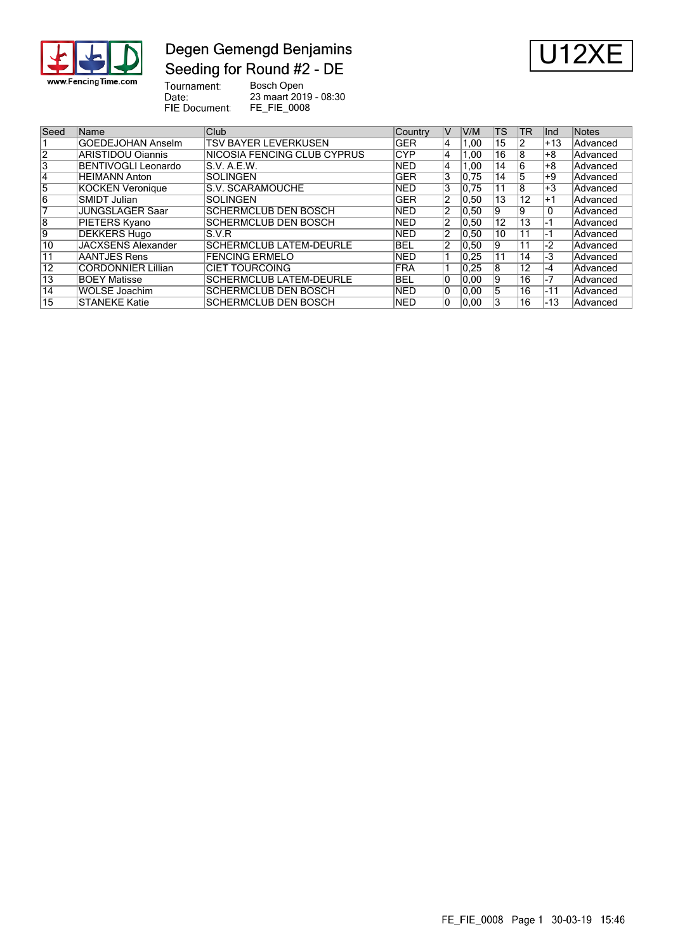

### Degen Gemengd Benjamins Seeding for Round #2 - DE



Tournament:<br>Date:<br>FIE Document: Bosch Open 23 maart 2019 - 08:30 FE\_FIE\_0008

| Seed           | <b>Name</b>               | Club                           | Country     | V              | V/M  | <b>TS</b>       | TR              | lnd.  | Notes    |
|----------------|---------------------------|--------------------------------|-------------|----------------|------|-----------------|-----------------|-------|----------|
|                | GOEDEJOHAN Anselm         | <b>TSV BAYER LEVERKUSEN</b>    | <b>IGER</b> | 4              | 1.00 | 15              |                 | $+13$ | Advanced |
| $\overline{2}$ | ARISTIDOU Oiannis         | INICOSIA FENCING CLUB CYPRUS   | <b>CYP</b>  | 4              | 1.00 | 16              | 18              | +8    | Advanced |
| 3              | BENTIVOGLI Leonardo       | IS.V. A.E.W.                   | <b>NED</b>  | 4              | 1.00 | 14              | 16              | +8    | Advanced |
| 4              | <b>HEIMANN Anton</b>      | <b>SOLINGEN</b>                | <b>GER</b>  | 3              | 0.75 | 14              | 15              | $+9$  | Advanced |
| 5              | KOCKEN Veronique          | <b>S.V. SCARAMOUCHE</b>        | <b>NED</b>  | 3              | 0.75 | 11              | 18              | $+3$  | Advanced |
| 6              | SMIDT Julian              | <b>SOLINGEN</b>                | <b>GER</b>  | 2              | 0.50 | 13              | 12              | $+1$  | Advanced |
|                | <b>JUNGSLAGER Saar</b>    | SCHERMCLUB DEN BOSCH           | <b>NED</b>  | 2              | 0,50 | 9               | 19              | 0     | Advanced |
| 8              | <b>PIETERS Kyano</b>      | SCHERMCLUB DEN BOSCH           | <b>NED</b>  | $\overline{2}$ | 0.50 | $1\overline{2}$ | $1\overline{3}$ | -1    | Advanced |
| وا             | DEKKERS Hugo              | IS.V.R                         | <b>NED</b>  | 2              | 0.50 | 10              | 11              | -1    | Advanced |
| 10             | <b>JACXSENS Alexander</b> | <b>SCHERMCLUB LATEM-DEURLE</b> | <b>BEL</b>  | 2              | 0,50 | 9               | 11              | $-2$  | Advanced |
| 11             | AANTJES Rens              | <b>FENCING ERMELO</b>          | <b>NED</b>  |                | 0.25 | 11              | 14              | -3    | Advanced |
| 12             | <b>CORDONNIER Lillian</b> | <b>CIET TOURCOING</b>          | <b>FRA</b>  |                | 0.25 | 8               | 12              | $-4$  | Advanced |
| 13             | <b>BOEY Matisse</b>       | <b>SCHERMCLUB LATEM-DEURLE</b> | <b>BEL</b>  | ۱O             | 0.00 | 9               | 16              | -7    | Advanced |
| 14             | WOLSE Joachim             | SCHERMCLUB DEN BOSCH           | <b>NED</b>  | 10             | 0.00 | 5               | 16              | $-11$ | Advanced |
| 15             | ISTANEKE Katie            | SCHERMCLUB DEN BOSCH           | <b>NED</b>  |                | 0,00 | 3               | 16              | $-13$ | Advanced |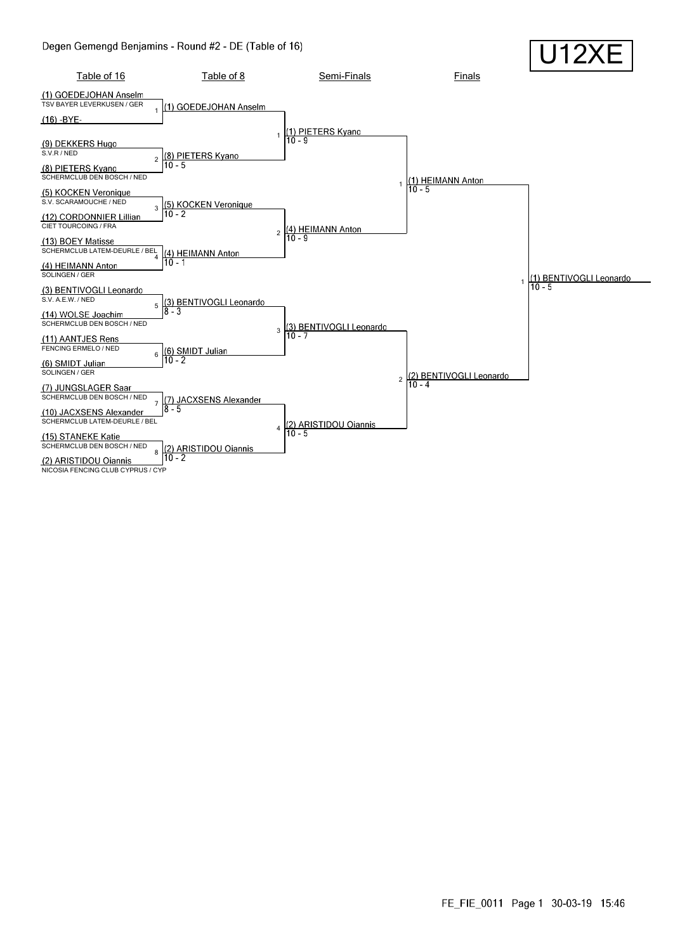

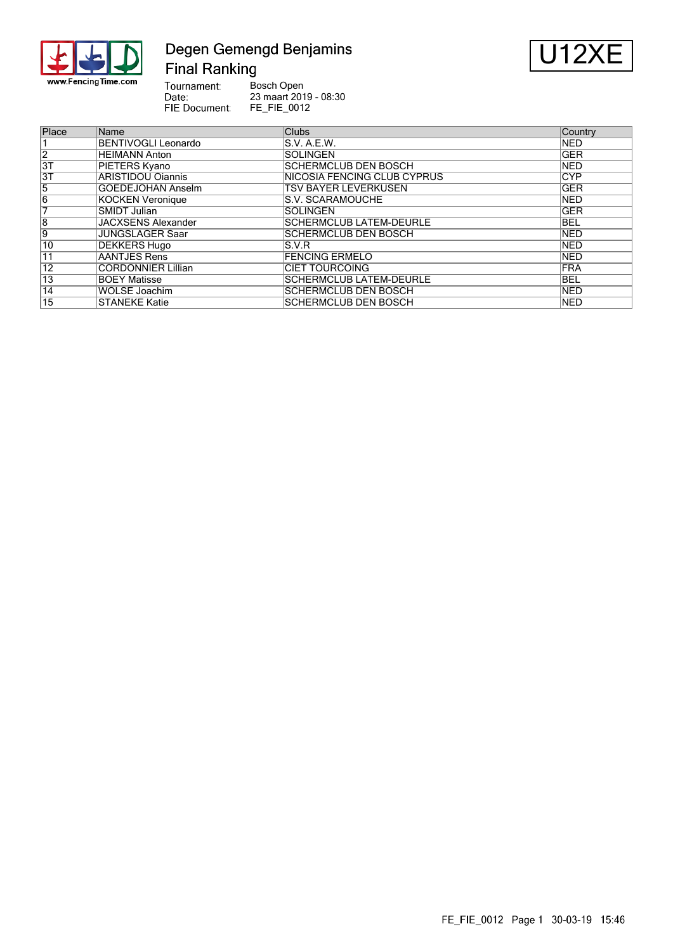

# Degen Gemengd Benjamins **Final Ranking**



**Bosch Open<br>23 maart 2019 - 08:30<br>FE\_FIE\_0012** Tournament: Date:<br>Date:<br>FIE Document:

| Place           | Name                      | <b>Clubs</b>                   | Country    |
|-----------------|---------------------------|--------------------------------|------------|
|                 | BENTIVOGLI Leonardo       | S.V. A.E.W.                    | <b>NED</b> |
| $\overline{2}$  | HEIMANN Anton             | <b>SOLINGEN</b>                | <b>GER</b> |
| 3T              | PIETERS Kyano             | <b>SCHERMCLUB DEN BOSCH</b>    | <b>NED</b> |
| $\overline{3T}$ | ARISTIDOU Oiannis         | NICOSIA FENCING CLUB CYPRUS    | <b>CYP</b> |
| 5               | <b>GOEDEJOHAN Anselm</b>  | <b>TSV BAYER LEVERKUSEN</b>    | <b>GER</b> |
| $\overline{6}$  | <b>KOCKEN Veronique</b>   | S.V. SCARAMOUCHE               | <b>NED</b> |
| 7               | SMIDT Julian              | <b>ISOLINGEN</b>               | <b>GER</b> |
| $\overline{8}$  | <b>JACXSENS Alexander</b> | <b>SCHERMCLUB LATEM-DEURLE</b> | <b>BEL</b> |
| 9               | JUNGSLAGER Saar           | <b>SCHERMCLUB DEN BOSCH</b>    | <b>NED</b> |
| 10              | <b>DEKKERS Hugo</b>       | S.V.R                          | NED        |
| 11              | AANTJES Rens              | <b>FENCING ERMELO</b>          | <b>NED</b> |
| $\overline{12}$ | <b>CORDONNIER Lillian</b> | <b>CIET TOURCOING</b>          | FRA        |
| $\overline{13}$ | <b>BOEY Matisse</b>       | <b>SCHERMCLUB LATEM-DEURLE</b> | <b>BEL</b> |
| 14              | WOLSE Joachim             | <b>SCHERMCLUB DEN BOSCH</b>    | <b>NED</b> |
| 15              | <b>STANEKE Katie</b>      | SCHERMCLUB DEN BOSCH           | <b>NED</b> |